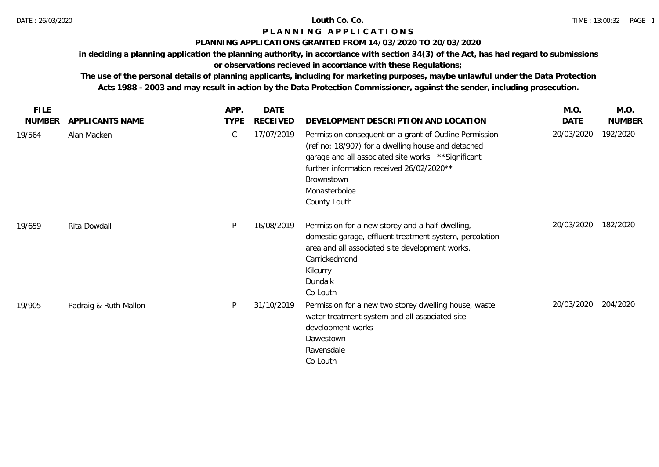#### **PLANNING APPLICATIONS GRANTED FROM 14/03/2020 TO 20/03/2020**

**in deciding a planning application the planning authority, in accordance with section 34(3) of the Act, has had regard to submissions** 

# **or observations recieved in accordance with these Regulations;**

| <b>FILE</b>   |                       | APP.        | <b>DATE</b>     |                                                                                                                                                                                                                                                                  | M.O.       | M.O.          |
|---------------|-----------------------|-------------|-----------------|------------------------------------------------------------------------------------------------------------------------------------------------------------------------------------------------------------------------------------------------------------------|------------|---------------|
| <b>NUMBER</b> | APPLICANTS NAME       | <b>TYPE</b> | <b>RECEIVED</b> | DEVELOPMENT DESCRIPTION AND LOCATION                                                                                                                                                                                                                             | DATE       | <b>NUMBER</b> |
| 19/564        | Alan Macken           | C           | 17/07/2019      | Permission consequent on a grant of Outline Permission<br>(ref no: 18/907) for a dwelling house and detached<br>garage and all associated site works. ** Significant<br>further information received 26/02/2020**<br>Brownstown<br>Monasterboice<br>County Louth | 20/03/2020 | 192/2020      |
| 19/659        | Rita Dowdall          | P           | 16/08/2019      | Permission for a new storey and a half dwelling,<br>domestic garage, effluent treatment system, percolation<br>area and all associated site development works.<br>Carrickedmond<br>Kilcurry<br>Dundalk<br>Co Louth                                               | 20/03/2020 | 182/2020      |
| 19/905        | Padraig & Ruth Mallon | P           | 31/10/2019      | Permission for a new two storey dwelling house, waste<br>water treatment system and all associated site<br>development works<br>Dawestown<br>Ravensdale<br>Co Louth                                                                                              | 20/03/2020 | 204/2020      |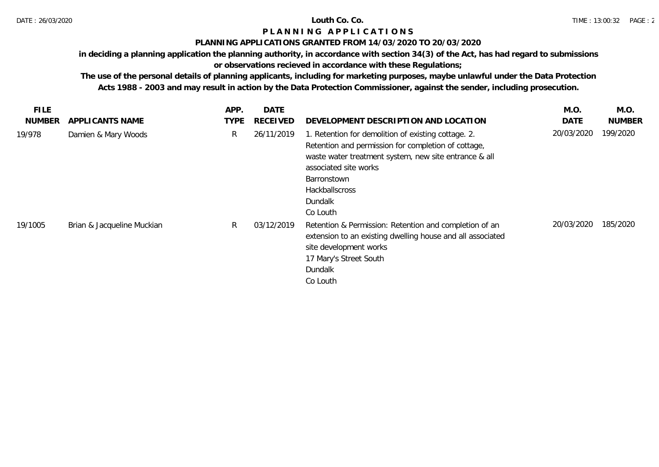### **PLANNING APPLICATIONS GRANTED FROM 14/03/2020 TO 20/03/2020**

**in deciding a planning application the planning authority, in accordance with section 34(3) of the Act, has had regard to submissions** 

# **or observations recieved in accordance with these Regulations;**

| <b>FILE</b>   |                            | APP.        | <b>DATE</b>     |                                                                                                                                                                                                                                                      | M.O.       | M.O.          |
|---------------|----------------------------|-------------|-----------------|------------------------------------------------------------------------------------------------------------------------------------------------------------------------------------------------------------------------------------------------------|------------|---------------|
| <b>NUMBER</b> | APPLICANTS NAME            | <b>TYPE</b> | <b>RECEIVED</b> | DEVELOPMENT DESCRIPTION AND LOCATION                                                                                                                                                                                                                 | DATE       | <b>NUMBER</b> |
| 19/978        | Damien & Mary Woods        | R.          | 26/11/2019      | 1. Retention for demolition of existing cottage. 2.<br>Retention and permission for completion of cottage,<br>waste water treatment system, new site entrance & all<br>associated site works<br>Barronstown<br>Hackballscross<br>Dundalk<br>Co Louth | 20/03/2020 | 199/2020      |
| 19/1005       | Brian & Jacqueline Muckian | R.          | 03/12/2019      | Retention & Permission: Retention and completion of an<br>extension to an existing dwelling house and all associated<br>site development works<br>17 Mary's Street South<br>Dundalk<br>Co Louth                                                      | 20/03/2020 | 185/2020      |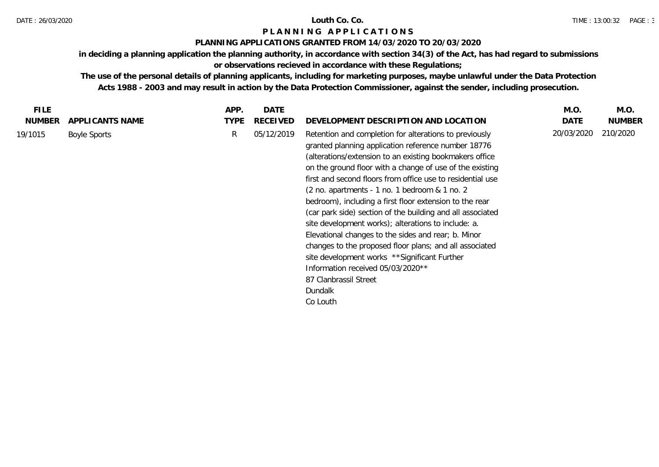#### **PLANNING APPLICATIONS GRANTED FROM 14/03/2020 TO 20/03/2020**

**in deciding a planning application the planning authority, in accordance with section 34(3) of the Act, has had regard to submissions** 

# **or observations recieved in accordance with these Regulations;**

| <b>NUMBER</b><br><b>TYPE</b><br>DATE<br><b>NUMBER</b><br>APPLICANTS NAME<br><b>RECEIVED</b><br>DEVELOPMENT DESCRIPTION AND LOCATION<br>20/03/2020<br>210/2020<br>05/12/2019<br>R<br>Retention and completion for alterations to previously<br><b>Boyle Sports</b><br>granted planning application reference number 18776<br>(alterations/extension to an existing bookmakers office<br>on the ground floor with a change of use of the existing<br>first and second floors from office use to residential use<br>(2 no. apartments - 1 no. 1 bedroom & 1 no. 2<br>bedroom), including a first floor extension to the rear<br>(car park side) section of the building and all associated<br>site development works); alterations to include: a.<br>Elevational changes to the sides and rear; b. Minor<br>changes to the proposed floor plans; and all associated<br>site development works ** Significant Further<br>Information received 05/03/2020**<br>87 Clanbrassil Street<br>Dundalk<br>Co Louth | <b>FILE</b> | APP. | DATE | M.O. | M.O. |
|--------------------------------------------------------------------------------------------------------------------------------------------------------------------------------------------------------------------------------------------------------------------------------------------------------------------------------------------------------------------------------------------------------------------------------------------------------------------------------------------------------------------------------------------------------------------------------------------------------------------------------------------------------------------------------------------------------------------------------------------------------------------------------------------------------------------------------------------------------------------------------------------------------------------------------------------------------------------------------------------------------|-------------|------|------|------|------|
|                                                                                                                                                                                                                                                                                                                                                                                                                                                                                                                                                                                                                                                                                                                                                                                                                                                                                                                                                                                                        |             |      |      |      |      |
|                                                                                                                                                                                                                                                                                                                                                                                                                                                                                                                                                                                                                                                                                                                                                                                                                                                                                                                                                                                                        | 19/1015     |      |      |      |      |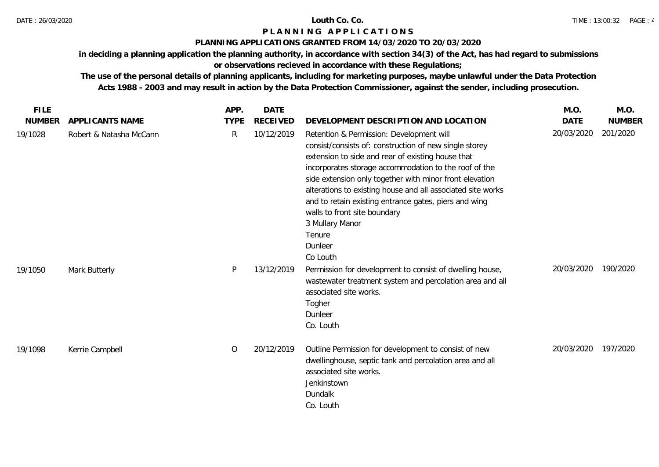### **PLANNING APPLICATIONS GRANTED FROM 14/03/2020 TO 20/03/2020**

**in deciding a planning application the planning authority, in accordance with section 34(3) of the Act, has had regard to submissions** 

# **or observations recieved in accordance with these Regulations;**

| <b>FILE</b>   |                         | APP.         | <b>DATE</b>     |                                                                                                                                                                                                                                                                                                                                                                                                                                                                                         | M.O.        | M.O.          |
|---------------|-------------------------|--------------|-----------------|-----------------------------------------------------------------------------------------------------------------------------------------------------------------------------------------------------------------------------------------------------------------------------------------------------------------------------------------------------------------------------------------------------------------------------------------------------------------------------------------|-------------|---------------|
| <b>NUMBER</b> | APPLICANTS NAME         | <b>TYPE</b>  | <b>RECEIVED</b> | DEVELOPMENT DESCRIPTION AND LOCATION                                                                                                                                                                                                                                                                                                                                                                                                                                                    | <b>DATE</b> | <b>NUMBER</b> |
| 19/1028       | Robert & Natasha McCann | $\mathsf{R}$ | 10/12/2019      | Retention & Permission: Development will<br>consist/consists of: construction of new single storey<br>extension to side and rear of existing house that<br>incorporates storage accommodation to the roof of the<br>side extension only together with minor front elevation<br>alterations to existing house and all associated site works<br>and to retain existing entrance gates, piers and wing<br>walls to front site boundary<br>3 Mullary Manor<br>Tenure<br>Dunleer<br>Co Louth | 20/03/2020  | 201/2020      |
| 19/1050       | Mark Butterly           | P            | 13/12/2019      | Permission for development to consist of dwelling house,<br>wastewater treatment system and percolation area and all<br>associated site works.<br>Togher<br>Dunleer<br>Co. Louth                                                                                                                                                                                                                                                                                                        | 20/03/2020  | 190/2020      |
| 19/1098       | Kerrie Campbell         | 0            | 20/12/2019      | Outline Permission for development to consist of new<br>dwellinghouse, septic tank and percolation area and all<br>associated site works.<br>Jenkinstown<br>Dundalk<br>Co. Louth                                                                                                                                                                                                                                                                                                        | 20/03/2020  | 197/2020      |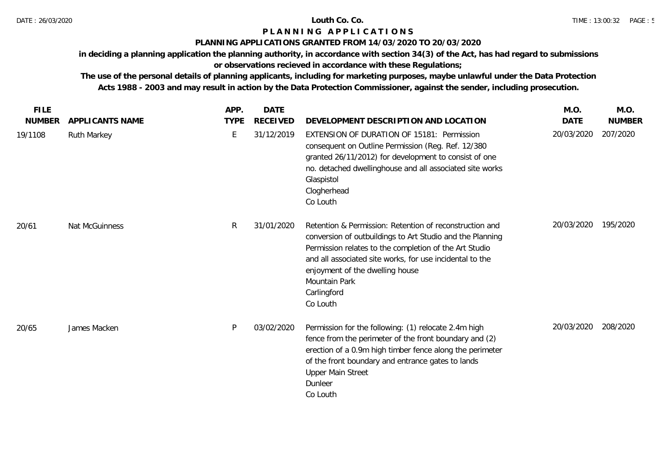### **PLANNING APPLICATIONS GRANTED FROM 14/03/2020 TO 20/03/2020**

**in deciding a planning application the planning authority, in accordance with section 34(3) of the Act, has had regard to submissions** 

# **or observations recieved in accordance with these Regulations;**

| <b>FILE</b>   |                    | APP.        | <b>DATE</b>     |                                                                                                                                                                                                                                                                                                                           | M.O.        | M.O.          |
|---------------|--------------------|-------------|-----------------|---------------------------------------------------------------------------------------------------------------------------------------------------------------------------------------------------------------------------------------------------------------------------------------------------------------------------|-------------|---------------|
| <b>NUMBER</b> | APPLICANTS NAME    | <b>TYPE</b> | <b>RECEIVED</b> | DEVELOPMENT DESCRIPTION AND LOCATION                                                                                                                                                                                                                                                                                      | <b>DATE</b> | <b>NUMBER</b> |
| 19/1108       | <b>Ruth Markey</b> | E           | 31/12/2019      | EXTENSION OF DURATION OF 15181: Permission<br>consequent on Outline Permission (Reg. Ref. 12/380<br>granted 26/11/2012) for development to consist of one<br>no. detached dwellinghouse and all associated site works<br>Glaspistol<br>Clogherhead<br>Co Louth                                                            | 20/03/2020  | 207/2020      |
| 20/61         | Nat McGuinness     | R.          | 31/01/2020      | Retention & Permission: Retention of reconstruction and<br>conversion of outbuildings to Art Studio and the Planning<br>Permission relates to the completion of the Art Studio<br>and all associated site works, for use incidental to the<br>enjoyment of the dwelling house<br>Mountain Park<br>Carlingford<br>Co Louth | 20/03/2020  | 195/2020      |
| 20/65         | James Macken       | P           | 03/02/2020      | Permission for the following: (1) relocate 2.4m high<br>fence from the perimeter of the front boundary and (2)<br>erection of a 0.9m high timber fence along the perimeter<br>of the front boundary and entrance gates to lands<br><b>Upper Main Street</b><br>Dunleer<br>Co Louth                                        | 20/03/2020  | 208/2020      |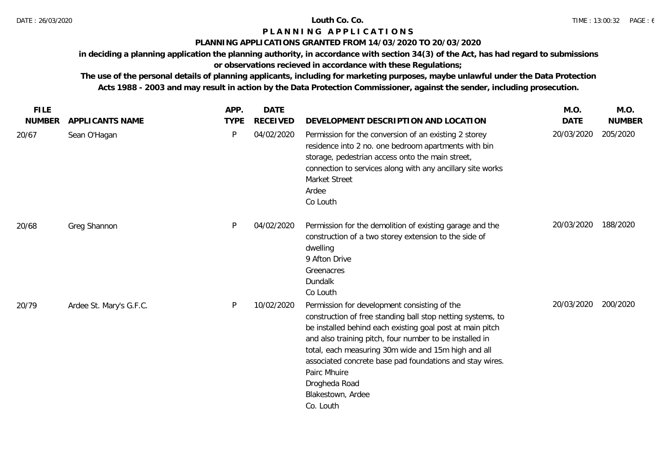### **PLANNING APPLICATIONS GRANTED FROM 14/03/2020 TO 20/03/2020**

**in deciding a planning application the planning authority, in accordance with section 34(3) of the Act, has had regard to submissions** 

# **or observations recieved in accordance with these Regulations;**

| <b>FILE</b>   |                         | APP.        | <b>DATE</b>     |                                                                                                                                                                                                                                                                                                                                                                                                                           | M.O.        | M.O.          |
|---------------|-------------------------|-------------|-----------------|---------------------------------------------------------------------------------------------------------------------------------------------------------------------------------------------------------------------------------------------------------------------------------------------------------------------------------------------------------------------------------------------------------------------------|-------------|---------------|
| <b>NUMBER</b> | APPLICANTS NAME         | <b>TYPE</b> | <b>RECEIVED</b> | DEVELOPMENT DESCRIPTION AND LOCATION                                                                                                                                                                                                                                                                                                                                                                                      | <b>DATE</b> | <b>NUMBER</b> |
| 20/67         | Sean O'Hagan            | P           | 04/02/2020      | Permission for the conversion of an existing 2 storey<br>residence into 2 no. one bedroom apartments with bin<br>storage, pedestrian access onto the main street,<br>connection to services along with any ancillary site works<br>Market Street<br>Ardee<br>Co Louth                                                                                                                                                     | 20/03/2020  | 205/2020      |
| 20/68         | Greg Shannon            | P           | 04/02/2020      | Permission for the demolition of existing garage and the<br>construction of a two storey extension to the side of<br>dwelling<br>9 Afton Drive<br>Greenacres<br>Dundalk<br>Co Louth                                                                                                                                                                                                                                       | 20/03/2020  | 188/2020      |
| 20/79         | Ardee St. Mary's G.F.C. | P           | 10/02/2020      | Permission for development consisting of the<br>construction of free standing ball stop netting systems, to<br>be installed behind each existing goal post at main pitch<br>and also training pitch, four number to be installed in<br>total, each measuring 30m wide and 15m high and all<br>associated concrete base pad foundations and stay wires.<br>Pairc Mhuire<br>Drogheda Road<br>Blakestown, Ardee<br>Co. Louth | 20/03/2020  | 200/2020      |